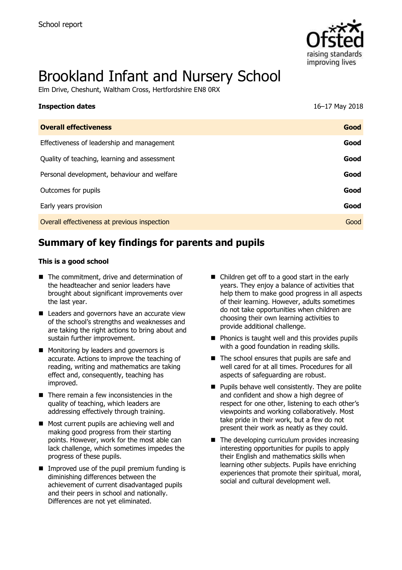

# Brookland Infant and Nursery School

Elm Drive, Cheshunt, Waltham Cross, Hertfordshire EN8 0RX

| <b>Inspection dates</b>                      | 16-17 May 2018 |
|----------------------------------------------|----------------|
| <b>Overall effectiveness</b>                 | Good           |
| Effectiveness of leadership and management   | Good           |
| Quality of teaching, learning and assessment | Good           |
| Personal development, behaviour and welfare  | Good           |
| Outcomes for pupils                          | Good           |
| Early years provision                        | Good           |
| Overall effectiveness at previous inspection | Good           |

# **Summary of key findings for parents and pupils**

#### **This is a good school**

- The commitment, drive and determination of the headteacher and senior leaders have brought about significant improvements over the last year.
- Leaders and governors have an accurate view of the school's strengths and weaknesses and are taking the right actions to bring about and sustain further improvement.
- **Monitoring by leaders and governors is** accurate. Actions to improve the teaching of reading, writing and mathematics are taking effect and, consequently, teaching has improved.
- There remain a few inconsistencies in the quality of teaching, which leaders are addressing effectively through training.
- Most current pupils are achieving well and making good progress from their starting points. However, work for the most able can lack challenge, which sometimes impedes the progress of these pupils.
- $\blacksquare$  Improved use of the pupil premium funding is diminishing differences between the achievement of current disadvantaged pupils and their peers in school and nationally. Differences are not yet eliminated.
- Children get off to a good start in the early years. They enjoy a balance of activities that help them to make good progress in all aspects of their learning. However, adults sometimes do not take opportunities when children are choosing their own learning activities to provide additional challenge.
- $\blacksquare$  Phonics is taught well and this provides pupils with a good foundation in reading skills.
- The school ensures that pupils are safe and well cared for at all times. Procedures for all aspects of safeguarding are robust.
- $\blacksquare$  Pupils behave well consistently. They are polite and confident and show a high degree of respect for one other, listening to each other's viewpoints and working collaboratively. Most take pride in their work, but a few do not present their work as neatly as they could.
- $\blacksquare$  The developing curriculum provides increasing interesting opportunities for pupils to apply their English and mathematics skills when learning other subjects. Pupils have enriching experiences that promote their spiritual, moral, social and cultural development well.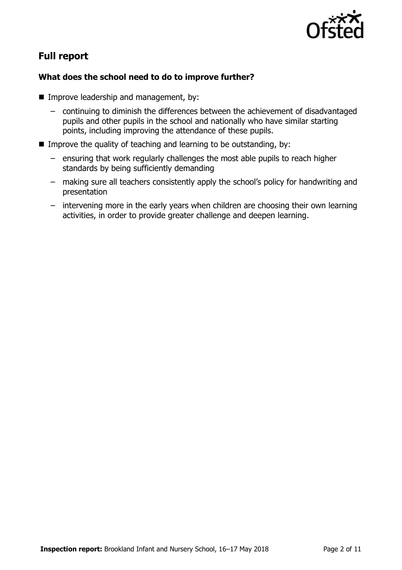

# **Full report**

#### **What does the school need to do to improve further?**

- **IMPROPE Improve leadership and management, by:** 
	- continuing to diminish the differences between the achievement of disadvantaged pupils and other pupils in the school and nationally who have similar starting points, including improving the attendance of these pupils.
- Improve the quality of teaching and learning to be outstanding, by:
	- ensuring that work regularly challenges the most able pupils to reach higher standards by being sufficiently demanding
	- making sure all teachers consistently apply the school's policy for handwriting and presentation
	- intervening more in the early years when children are choosing their own learning activities, in order to provide greater challenge and deepen learning.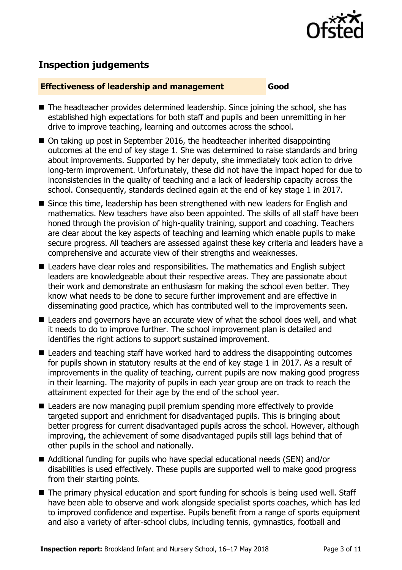

# **Inspection judgements**

#### **Effectiveness of leadership and management Good**

- The headteacher provides determined leadership. Since joining the school, she has established high expectations for both staff and pupils and been unremitting in her drive to improve teaching, learning and outcomes across the school.
- On taking up post in September 2016, the headteacher inherited disappointing outcomes at the end of key stage 1. She was determined to raise standards and bring about improvements. Supported by her deputy, she immediately took action to drive long-term improvement. Unfortunately, these did not have the impact hoped for due to inconsistencies in the quality of teaching and a lack of leadership capacity across the school. Consequently, standards declined again at the end of key stage 1 in 2017.
- Since this time, leadership has been strengthened with new leaders for English and mathematics. New teachers have also been appointed. The skills of all staff have been honed through the provision of high-quality training, support and coaching. Teachers are clear about the key aspects of teaching and learning which enable pupils to make secure progress. All teachers are assessed against these key criteria and leaders have a comprehensive and accurate view of their strengths and weaknesses.
- Leaders have clear roles and responsibilities. The mathematics and English subject leaders are knowledgeable about their respective areas. They are passionate about their work and demonstrate an enthusiasm for making the school even better. They know what needs to be done to secure further improvement and are effective in disseminating good practice, which has contributed well to the improvements seen.
- Leaders and governors have an accurate view of what the school does well, and what it needs to do to improve further. The school improvement plan is detailed and identifies the right actions to support sustained improvement.
- Leaders and teaching staff have worked hard to address the disappointing outcomes for pupils shown in statutory results at the end of key stage 1 in 2017. As a result of improvements in the quality of teaching, current pupils are now making good progress in their learning. The majority of pupils in each year group are on track to reach the attainment expected for their age by the end of the school year.
- Leaders are now managing pupil premium spending more effectively to provide targeted support and enrichment for disadvantaged pupils. This is bringing about better progress for current disadvantaged pupils across the school. However, although improving, the achievement of some disadvantaged pupils still lags behind that of other pupils in the school and nationally.
- Additional funding for pupils who have special educational needs (SEN) and/or disabilities is used effectively. These pupils are supported well to make good progress from their starting points.
- The primary physical education and sport funding for schools is being used well. Staff have been able to observe and work alongside specialist sports coaches, which has led to improved confidence and expertise. Pupils benefit from a range of sports equipment and also a variety of after-school clubs, including tennis, gymnastics, football and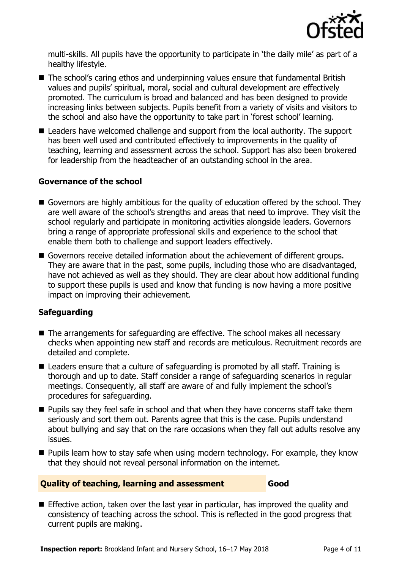

multi-skills. All pupils have the opportunity to participate in 'the daily mile' as part of a healthy lifestyle.

- The school's caring ethos and underpinning values ensure that fundamental British values and pupils' spiritual, moral, social and cultural development are effectively promoted. The curriculum is broad and balanced and has been designed to provide increasing links between subjects. Pupils benefit from a variety of visits and visitors to the school and also have the opportunity to take part in 'forest school' learning.
- Leaders have welcomed challenge and support from the local authority. The support has been well used and contributed effectively to improvements in the quality of teaching, learning and assessment across the school. Support has also been brokered for leadership from the headteacher of an outstanding school in the area.

#### **Governance of the school**

- Governors are highly ambitious for the quality of education offered by the school. They are well aware of the school's strengths and areas that need to improve. They visit the school regularly and participate in monitoring activities alongside leaders. Governors bring a range of appropriate professional skills and experience to the school that enable them both to challenge and support leaders effectively.
- Governors receive detailed information about the achievement of different groups. They are aware that in the past, some pupils, including those who are disadvantaged, have not achieved as well as they should. They are clear about how additional funding to support these pupils is used and know that funding is now having a more positive impact on improving their achievement.

#### **Safeguarding**

- The arrangements for safeguarding are effective. The school makes all necessary checks when appointing new staff and records are meticulous. Recruitment records are detailed and complete.
- Leaders ensure that a culture of safeguarding is promoted by all staff. Training is thorough and up to date. Staff consider a range of safeguarding scenarios in regular meetings. Consequently, all staff are aware of and fully implement the school's procedures for safeguarding.
- **Pupils say they feel safe in school and that when they have concerns staff take them** seriously and sort them out. Parents agree that this is the case. Pupils understand about bullying and say that on the rare occasions when they fall out adults resolve any issues.
- **Pupils learn how to stay safe when using modern technology. For example, they know** that they should not reveal personal information on the internet.

#### **Quality of teaching, learning and assessment Good**

**Effective action, taken over the last year in particular, has improved the quality and** consistency of teaching across the school. This is reflected in the good progress that current pupils are making.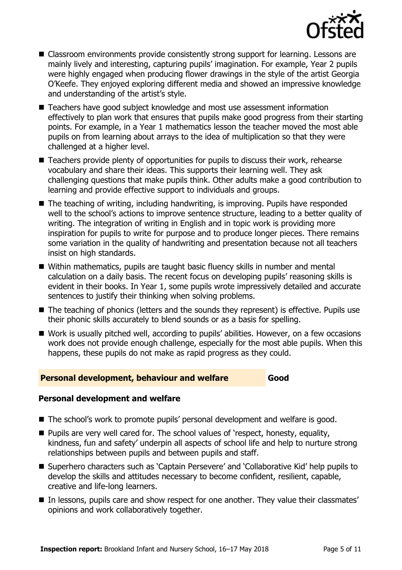

- Classroom environments provide consistently strong support for learning. Lessons are mainly lively and interesting, capturing pupils' imagination. For example, Year 2 pupils were highly engaged when producing flower drawings in the style of the artist Georgia O'Keefe. They enjoyed exploring different media and showed an impressive knowledge and understanding of the artist's style.
- Teachers have good subject knowledge and most use assessment information effectively to plan work that ensures that pupils make good progress from their starting points. For example, in a Year 1 mathematics lesson the teacher moved the most able pupils on from learning about arrays to the idea of multiplication so that they were challenged at a higher level.
- Teachers provide plenty of opportunities for pupils to discuss their work, rehearse vocabulary and share their ideas. This supports their learning well. They ask challenging questions that make pupils think. Other adults make a good contribution to learning and provide effective support to individuals and groups.
- The teaching of writing, including handwriting, is improving. Pupils have responded well to the school's actions to improve sentence structure, leading to a better quality of writing. The integration of writing in English and in topic work is providing more inspiration for pupils to write for purpose and to produce longer pieces. There remains some variation in the quality of handwriting and presentation because not all teachers insist on high standards.
- Within mathematics, pupils are taught basic fluency skills in number and mental calculation on a daily basis. The recent focus on developing pupils' reasoning skills is evident in their books. In Year 1, some pupils wrote impressively detailed and accurate sentences to justify their thinking when solving problems.
- The teaching of phonics (letters and the sounds they represent) is effective. Pupils use their phonic skills accurately to blend sounds or as a basis for spelling.
- Work is usually pitched well, according to pupils' abilities. However, on a few occasions work does not provide enough challenge, especially for the most able pupils. When this happens, these pupils do not make as rapid progress as they could.

#### **Personal development, behaviour and welfare Good**

### **Personal development and welfare**

- The school's work to promote pupils' personal development and welfare is good.
- **Pupils are very well cared for. The school values of 'respect, honesty, equality,** kindness, fun and safety' underpin all aspects of school life and help to nurture strong relationships between pupils and between pupils and staff.
- Superhero characters such as 'Captain Persevere' and 'Collaborative Kid' help pupils to develop the skills and attitudes necessary to become confident, resilient, capable, creative and life-long learners.
- In lessons, pupils care and show respect for one another. They value their classmates' opinions and work collaboratively together.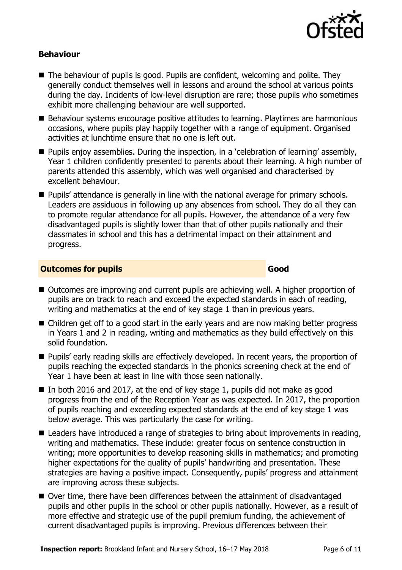

#### **Behaviour**

- The behaviour of pupils is good. Pupils are confident, welcoming and polite. They generally conduct themselves well in lessons and around the school at various points during the day. Incidents of low-level disruption are rare; those pupils who sometimes exhibit more challenging behaviour are well supported.
- Behaviour systems encourage positive attitudes to learning. Playtimes are harmonious occasions, where pupils play happily together with a range of equipment. Organised activities at lunchtime ensure that no one is left out.
- **Pupils enjoy assemblies. During the inspection, in a 'celebration of learning' assembly,** Year 1 children confidently presented to parents about their learning. A high number of parents attended this assembly, which was well organised and characterised by excellent behaviour.
- **Pupils' attendance is generally in line with the national average for primary schools.** Leaders are assiduous in following up any absences from school. They do all they can to promote regular attendance for all pupils. However, the attendance of a very few disadvantaged pupils is slightly lower than that of other pupils nationally and their classmates in school and this has a detrimental impact on their attainment and progress.

#### **Outcomes for pupils Good**

- Outcomes are improving and current pupils are achieving well. A higher proportion of pupils are on track to reach and exceed the expected standards in each of reading, writing and mathematics at the end of key stage 1 than in previous years.
- Children get off to a good start in the early years and are now making better progress in Years 1 and 2 in reading, writing and mathematics as they build effectively on this solid foundation.
- **Pupils' early reading skills are effectively developed. In recent years, the proportion of** pupils reaching the expected standards in the phonics screening check at the end of Year 1 have been at least in line with those seen nationally.
- In both 2016 and 2017, at the end of key stage 1, pupils did not make as good progress from the end of the Reception Year as was expected. In 2017, the proportion of pupils reaching and exceeding expected standards at the end of key stage 1 was below average. This was particularly the case for writing.
- Leaders have introduced a range of strategies to bring about improvements in reading, writing and mathematics. These include: greater focus on sentence construction in writing; more opportunities to develop reasoning skills in mathematics; and promoting higher expectations for the quality of pupils' handwriting and presentation. These strategies are having a positive impact. Consequently, pupils' progress and attainment are improving across these subjects.
- Over time, there have been differences between the attainment of disadvantaged pupils and other pupils in the school or other pupils nationally. However, as a result of more effective and strategic use of the pupil premium funding, the achievement of current disadvantaged pupils is improving. Previous differences between their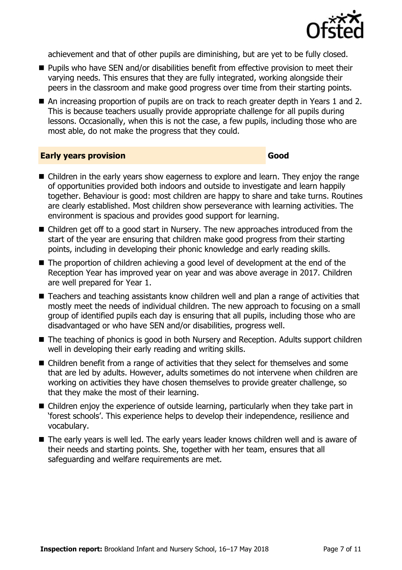

achievement and that of other pupils are diminishing, but are yet to be fully closed.

- **Pupils who have SEN and/or disabilities benefit from effective provision to meet their** varying needs. This ensures that they are fully integrated, working alongside their peers in the classroom and make good progress over time from their starting points.
- An increasing proportion of pupils are on track to reach greater depth in Years 1 and 2. This is because teachers usually provide appropriate challenge for all pupils during lessons. Occasionally, when this is not the case, a few pupils, including those who are most able, do not make the progress that they could.

#### **Early years provision Good**

- Children in the early years show eagerness to explore and learn. They enjoy the range of opportunities provided both indoors and outside to investigate and learn happily together. Behaviour is good: most children are happy to share and take turns. Routines are clearly established. Most children show perseverance with learning activities. The environment is spacious and provides good support for learning.
- Children get off to a good start in Nursery. The new approaches introduced from the start of the year are ensuring that children make good progress from their starting points, including in developing their phonic knowledge and early reading skills.
- The proportion of children achieving a good level of development at the end of the Reception Year has improved year on year and was above average in 2017. Children are well prepared for Year 1.
- Teachers and teaching assistants know children well and plan a range of activities that mostly meet the needs of individual children. The new approach to focusing on a small group of identified pupils each day is ensuring that all pupils, including those who are disadvantaged or who have SEN and/or disabilities, progress well.
- The teaching of phonics is good in both Nursery and Reception. Adults support children well in developing their early reading and writing skills.
- Children benefit from a range of activities that they select for themselves and some that are led by adults. However, adults sometimes do not intervene when children are working on activities they have chosen themselves to provide greater challenge, so that they make the most of their learning.
- Children enjoy the experience of outside learning, particularly when they take part in 'forest schools'. This experience helps to develop their independence, resilience and vocabulary.
- The early years is well led. The early years leader knows children well and is aware of their needs and starting points. She, together with her team, ensures that all safeguarding and welfare requirements are met.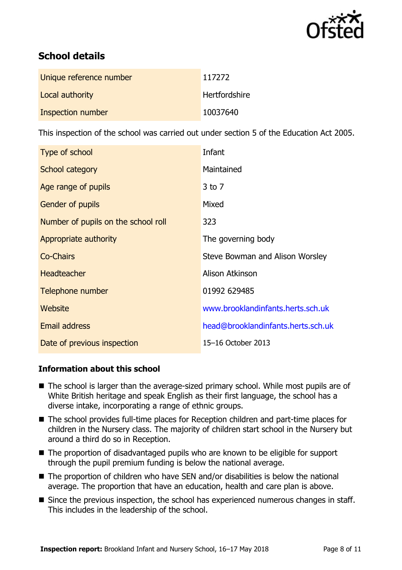

# **School details**

| Unique reference number | 117272               |
|-------------------------|----------------------|
| Local authority         | <b>Hertfordshire</b> |
| Inspection number       | 10037640             |

This inspection of the school was carried out under section 5 of the Education Act 2005.

| Type of school                      | Infant                             |
|-------------------------------------|------------------------------------|
| School category                     | Maintained                         |
| Age range of pupils                 | $3$ to $7$                         |
| <b>Gender of pupils</b>             | Mixed                              |
| Number of pupils on the school roll | 323                                |
| Appropriate authority               | The governing body                 |
| <b>Co-Chairs</b>                    | Steve Bowman and Alison Worsley    |
| <b>Headteacher</b>                  | Alison Atkinson                    |
| Telephone number                    | 01992 629485                       |
| Website                             | www.brooklandinfants.herts.sch.uk  |
| <b>Email address</b>                | head@brooklandinfants.herts.sch.uk |
| Date of previous inspection         | 15–16 October 2013                 |

#### **Information about this school**

- The school is larger than the average-sized primary school. While most pupils are of White British heritage and speak English as their first language, the school has a diverse intake, incorporating a range of ethnic groups.
- The school provides full-time places for Reception children and part-time places for children in the Nursery class. The majority of children start school in the Nursery but around a third do so in Reception.
- The proportion of disadvantaged pupils who are known to be eligible for support through the pupil premium funding is below the national average.
- The proportion of children who have SEN and/or disabilities is below the national average. The proportion that have an education, health and care plan is above.
- Since the previous inspection, the school has experienced numerous changes in staff. This includes in the leadership of the school.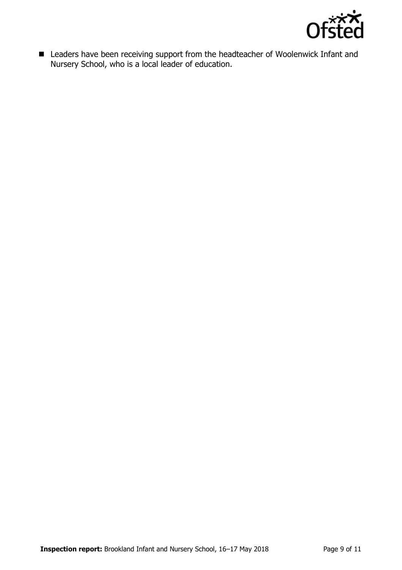

■ Leaders have been receiving support from the headteacher of Woolenwick Infant and Nursery School, who is a local leader of education.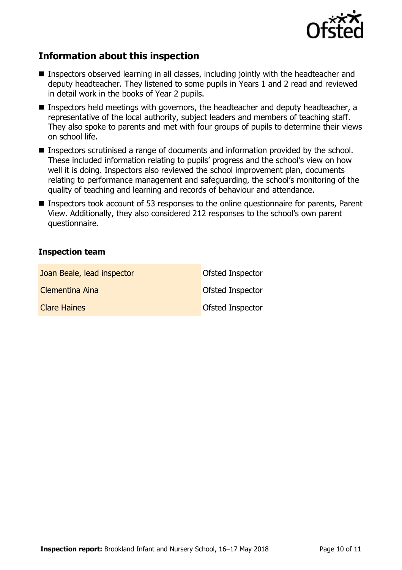

## **Information about this inspection**

- Inspectors observed learning in all classes, including jointly with the headteacher and deputy headteacher. They listened to some pupils in Years 1 and 2 read and reviewed in detail work in the books of Year 2 pupils.
- Inspectors held meetings with governors, the headteacher and deputy headteacher, a representative of the local authority, subject leaders and members of teaching staff. They also spoke to parents and met with four groups of pupils to determine their views on school life.
- Inspectors scrutinised a range of documents and information provided by the school. These included information relating to pupils' progress and the school's view on how well it is doing. Inspectors also reviewed the school improvement plan, documents relating to performance management and safeguarding, the school's monitoring of the quality of teaching and learning and records of behaviour and attendance.
- Inspectors took account of 53 responses to the online questionnaire for parents, Parent View. Additionally, they also considered 212 responses to the school's own parent questionnaire.

#### **Inspection team**

| Joan Beale, lead inspector | Ofsted Inspector        |
|----------------------------|-------------------------|
| Clementina Aina            | <b>Ofsted Inspector</b> |
| <b>Clare Haines</b>        | <b>Ofsted Inspector</b> |